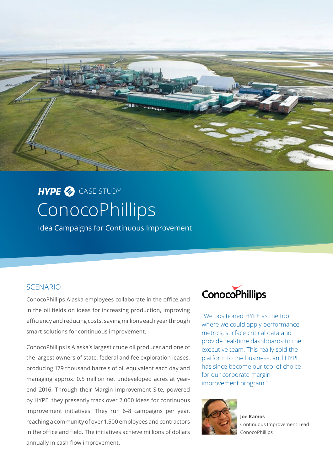

# **ConocoPhillips** HYPE<sup></sub> CASE STUDY</sup>

Idea Campaigns for Continuous Improvement

# SCENARIO

ConocoPhillips Alaska employees collaborate in the office and in the oil fields on ideas for increasing production, improving efficiency and reducing costs, saving millions each year through smart solutions for continuous improvement.

ConocoPhillips is Alaska's largest crude oil producer and one of the largest owners of state, federal and fee exploration leases, producing 179 thousand barrels of oil equivalent each day and managing approx. 0.5 million net undeveloped acres at yearend 2016. Through their Margin Improvement Site, powered by HYPE, they presently track over 2,000 ideas for continuous improvement initiatives. They run 6-8 campaigns per year, reaching a community of over 1,500 employees and contractors in the office and field. The initiatives achieve millions of dollars annually in cash flow improvement.



"We positioned HYPE as the tool where we could apply performance metrics, surface critical data and provide real-time dashboards to the executive team. This really sold the platform to the business, and HYPE has since become our tool of choice for our corporate margin improvement program."



**Joe Ramos**  Continuous Improvement Lead ConocoPhillips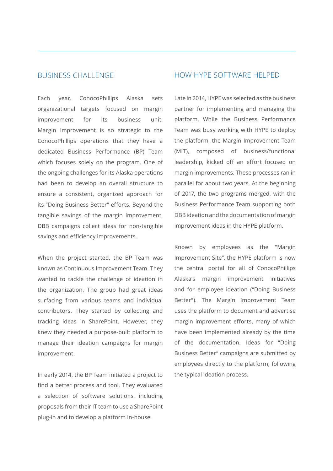## BUSINESS CHALLENGE

Each year, ConocoPhillips Alaska sets organizational targets focused on margin improvement for its business unit. Margin improvement is so strategic to the ConocoPhillips operations that they have a dedicated Business Performance (BP) Team which focuses solely on the program. One of the ongoing challenges for its Alaska operations had been to develop an overall structure to ensure a consistent, organized approach for its "Doing Business Better" efforts. Beyond the tangible savings of the margin improvement, DBB campaigns collect ideas for non-tangible savings and efficiency improvements.

When the project started, the BP Team was known as Continuous Improvement Team. They wanted to tackle the challenge of ideation in the organization. The group had great ideas surfacing from various teams and individual contributors. They started by collecting and tracking ideas in SharePoint. However, they knew they needed a purpose-built platform to manage their ideation campaigns for margin improvement.

In early 2014, the BP Team initiated a project to find a better process and tool. They evaluated a selection of software solutions, including proposals from their IT team to use a SharePoint plug-in and to develop a platform in-house.

### HOW HYPE SOFTWARE HELPED

Late in 2014, HYPE was selected as the business partner for implementing and managing the platform. While the Business Performance Team was busy working with HYPE to deploy the platform, the Margin Improvement Team (MIT), composed of business/functional leadership, kicked off an effort focused on margin improvements. These processes ran in parallel for about two years. At the beginning of 2017, the two programs merged, with the Business Performance Team supporting both DBB ideation and the documentation of margin improvement ideas in the HYPE platform.

Known by employees as the "Margin Improvement Site", the HYPE platform is now the central portal for all of ConocoPhillips Alaska's margin improvement initiatives and for employee ideation ("Doing Business Better"). The Margin Improvement Team uses the platform to document and advertise margin improvement efforts, many of which have been implemented already by the time of the documentation. Ideas for "Doing Business Better" campaigns are submitted by employees directly to the platform, following the typical ideation process.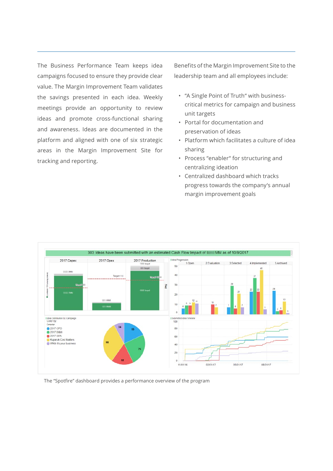The Business Performance Team keeps idea campaigns focused to ensure they provide clear value. The Margin Improvement Team validates the savings presented in each idea. Weekly meetings provide an opportunity to review ideas and promote cross-functional sharing and awareness. Ideas are documented in the platform and aligned with one of six strategic areas in the Margin Improvement Site for tracking and reporting.

Benefits of the Margin Improvement Site to the leadership team and all employees include:

- "A Single Point of Truth" with businesscritical metrics for campaign and business unit targets
- Portal for documentation and preservation of ideas
- Platform which facilitates a culture of idea sharing
- Process "enabler" for structuring and centralizing ideation
- Centralized dashboard which tracks progress towards the company's annual margin improvement goals



The "Spotfire" dashboard provides a performance overview of the program